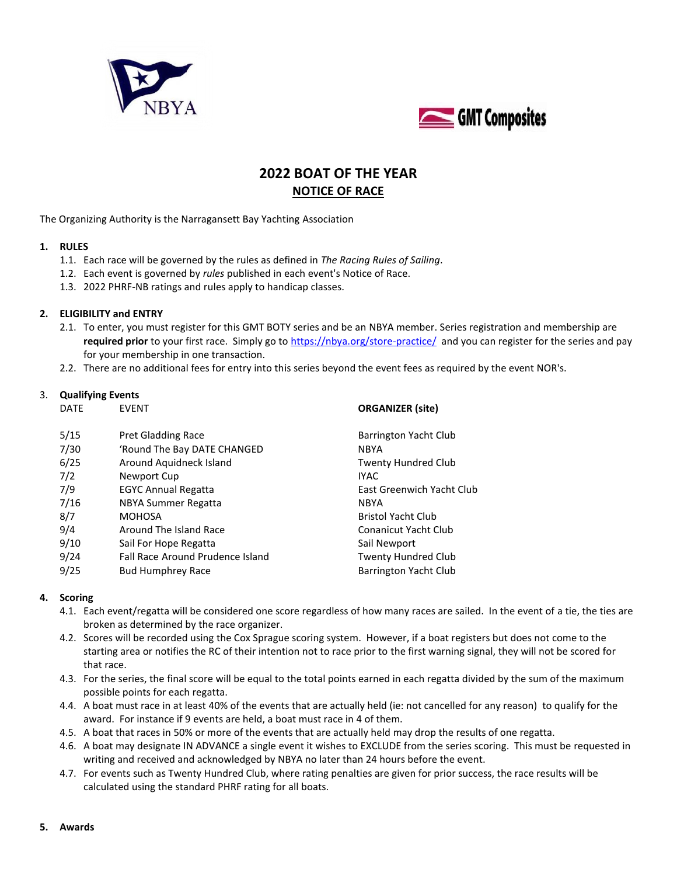



# **2022 BOAT OF THE YEAR NOTICE OF RACE**

The Organizing Authority is the Narragansett Bay Yachting Association

### **1. RULES**

- 1.1. Each race will be governed by the rules as defined in *The Racing Rules of Sailing*.
- 1.2. Each event is governed by *rules* published in each event's Notice of Race.
- 1.3. 2022 PHRF-NB ratings and rules apply to handicap classes.

#### **2. ELIGIBILITY and ENTRY**

- 2.1. To enter, you must register for this GMT BOTY series and be an NBYA member. Series registration and membership are **required prior** to your first race. Simply go to<https://nbya.org/store-practice/>and you can register for the series and pay for your membership in one transaction.
- 2.2. There are no additional fees for entry into this series beyond the event fees as required by the event NOR's.

# 3. **Qualifying Events**

| <b>DATE</b> | <b>EVENT</b>                     | <b>ORGANIZER</b> (site)     |
|-------------|----------------------------------|-----------------------------|
| 5/15        | <b>Pret Gladding Race</b>        | Barrington Yacht Club       |
| 7/30        | 'Round The Bay DATE CHANGED      | <b>NBYA</b>                 |
| 6/25        | Around Aquidneck Island          | <b>Twenty Hundred Club</b>  |
| 7/2         | Newport Cup                      | <b>IYAC</b>                 |
| 7/9         | <b>EGYC Annual Regatta</b>       | East Greenwich Yacht Club   |
| 7/16        | NBYA Summer Regatta              | <b>NBYA</b>                 |
| 8/7         | <b>MOHOSA</b>                    | <b>Bristol Yacht Club</b>   |
| 9/4         | Around The Island Race           | <b>Conanicut Yacht Club</b> |
| 9/10        | Sail For Hope Regatta            | Sail Newport                |
| 9/24        | Fall Race Around Prudence Island | <b>Twenty Hundred Club</b>  |
| 9/25        | <b>Bud Humphrey Race</b>         | Barrington Yacht Club       |

# **4. Scoring**

- 4.1. Each event/regatta will be considered one score regardless of how many races are sailed. In the event of a tie, the ties are broken as determined by the race organizer.
- 4.2. Scores will be recorded using the Cox Sprague scoring system. However, if a boat registers but does not come to the starting area or notifies the RC of their intention not to race prior to the first warning signal, they will not be scored for that race.
- 4.3. For the series, the final score will be equal to the total points earned in each regatta divided by the sum of the maximum possible points for each regatta.
- 4.4. A boat must race in at least 40% of the events that are actually held (ie: not cancelled for any reason) to qualify for the award. For instance if 9 events are held, a boat must race in 4 of them.
- 4.5. A boat that races in 50% or more of the events that are actually held may drop the results of one regatta.
- 4.6. A boat may designate IN ADVANCE a single event it wishes to EXCLUDE from the series scoring. This must be requested in writing and received and acknowledged by NBYA no later than 24 hours before the event.
- 4.7. For events such as Twenty Hundred Club, where rating penalties are given for prior success, the race results will be calculated using the standard PHRF rating for all boats.